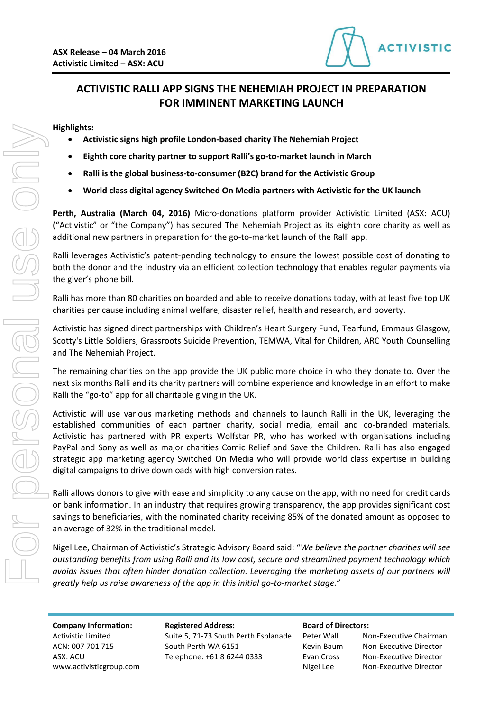

# **ACTIVISTIC RALLI APP SIGNS THE NEHEMIAH PROJECT IN PREPARATION FOR IMMINENT MARKETING LAUNCH**

## **Highlights:**

- **Activistic signs high profile London-based charity The Nehemiah Project**
- **Eighth core charity partner to support Ralli's go-to-market launch in March**
- **Ralli is the global business-to-consumer (B2C) brand for the Activistic Group**
- **World class digital agency Switched On Media partners with Activistic for the UK launch**

**Perth, Australia (March 04, 2016)** Micro-donations platform provider Activistic Limited (ASX: ACU) ("Activistic" or "the Company") has secured The Nehemiah Project as its eighth core charity as well as additional new partners in preparation for the go-to-market launch of the Ralli app.

Ralli leverages Activistic's patent-pending technology to ensure the lowest possible cost of donating to both the donor and the industry via an efficient collection technology that enables regular payments via the giver's phone bill.

Ralli has more than 80 charities on boarded and able to receive donations today, with at least five top UK charities per cause including animal welfare, disaster relief, health and research, and poverty.

Activistic has signed direct partnerships with Children's Heart Surgery Fund, Tearfund, Emmaus Glasgow, Scotty's Little Soldiers, Grassroots Suicide Prevention, TEMWA, Vital for Children, ARC Youth Counselling and The Nehemiah Project.

The remaining charities on the app provide the UK public more choice in who they donate to. Over the next six months Ralli and its charity partners will combine experience and knowledge in an effort to make Ralli the "go-to" app for all charitable giving in the UK.

Activistic will use various marketing methods and channels to launch Ralli in the UK, leveraging the established communities of each partner charity, social media, email and co-branded materials. Activistic has partnered with PR experts Wolfstar PR, who has worked with organisations including PayPal and Sony as well as major charities Comic Relief and Save the Children. Ralli has also engaged strategic app marketing agency Switched On Media who will provide world class expertise in building digital campaigns to drive downloads with high conversion rates.

Ralli allows donors to give with ease and simplicity to any cause on the app, with no need for credit cards or bank information. In an industry that requires growing transparency, the app provides significant cost savings to beneficiaries, with the nominated charity receiving 85% of the donated amount as opposed to an average of 32% in the traditional model.

Nigel Lee, Chairman of Activistic's Strategic Advisory Board said: "*We believe the partner charities will see outstanding benefits from using Ralli and its low cost, secure and streamlined payment technology which avoids issues that often hinder donation collection. Leveraging the marketing assets of our partners will* 

www.activisticgroup.com and a set of the Nigel Lee Non-Executive Director

**Company Information: Registered Address: Board of Directors:** Activistic Limited Suite 5, 71-73 South Perth Esplanade Peter Wall Non-Executive Chairman ACN: 007 701 715 South Perth WA 6151 Kevin Baum Non-Executive Director ASX: ACU Telephone: +61 8 6244 0333 Evan Cross Non-Executive Director

| er Wall  | Non-l |
|----------|-------|
| 'in Baum | Non-l |
| n Cross  | Non-l |
| el Lee   | Non-l |